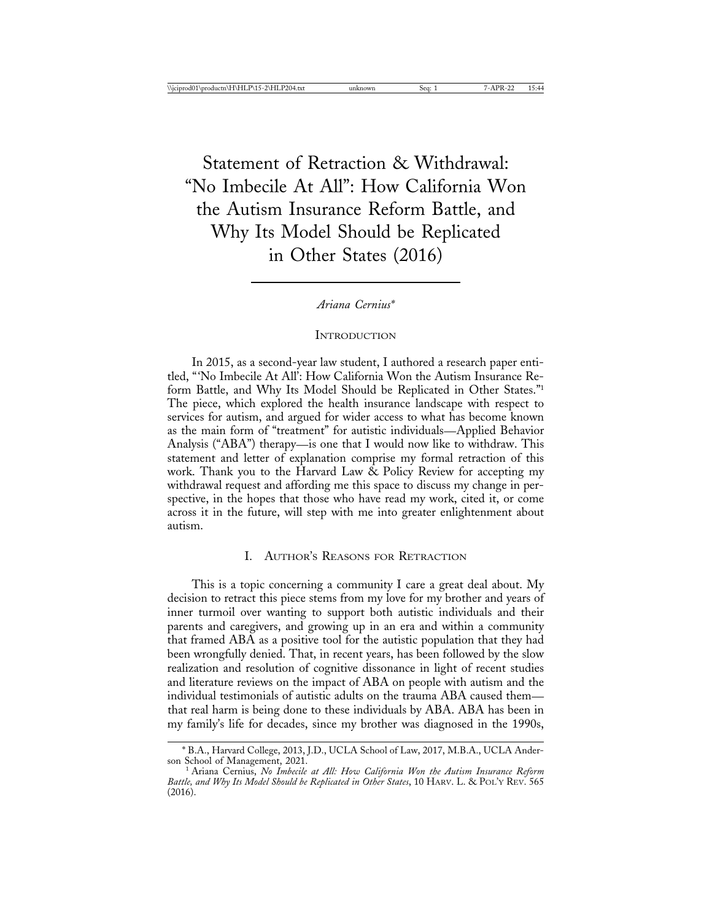Statement of Retraction & Withdrawal: "No Imbecile At All": How California Won the Autism Insurance Reform Battle, and Why Its Model Should be Replicated in Other States (2016)

*Ariana Cernius\**

**INTRODUCTION** 

In 2015, as a second-year law student, I authored a research paper entitled, "'No Imbecile At All': How California Won the Autism Insurance Reform Battle, and Why Its Model Should be Replicated in Other States."1 The piece, which explored the health insurance landscape with respect to services for autism, and argued for wider access to what has become known as the main form of "treatment" for autistic individuals—Applied Behavior Analysis ("ABA") therapy—is one that I would now like to withdraw. This statement and letter of explanation comprise my formal retraction of this work. Thank you to the Harvard Law  $\&$  Policy Review for accepting my withdrawal request and affording me this space to discuss my change in perspective, in the hopes that those who have read my work, cited it, or come across it in the future, will step with me into greater enlightenment about autism.

### I. AUTHOR'S REASONS FOR RETRACTION

This is a topic concerning a community I care a great deal about. My decision to retract this piece stems from my love for my brother and years of inner turmoil over wanting to support both autistic individuals and their parents and caregivers, and growing up in an era and within a community that framed ABA as a positive tool for the autistic population that they had been wrongfully denied. That, in recent years, has been followed by the slow realization and resolution of cognitive dissonance in light of recent studies and literature reviews on the impact of ABA on people with autism and the individual testimonials of autistic adults on the trauma ABA caused them that real harm is being done to these individuals by ABA. ABA has been in my family's life for decades, since my brother was diagnosed in the 1990s,

<sup>\*</sup> B.A., Harvard College, 2013, J.D., UCLA School of Law, 2017, M.B.A., UCLA Ander-

<sup>&</sup>lt;sup>1</sup> Ariana Cernius, *No Imbecile at All: How California Won the Autism Insurance Reform Battle, and Why Its Model Should be Replicated in Other States*, 10 HARV. L. & POL'Y REV. 565 (2016).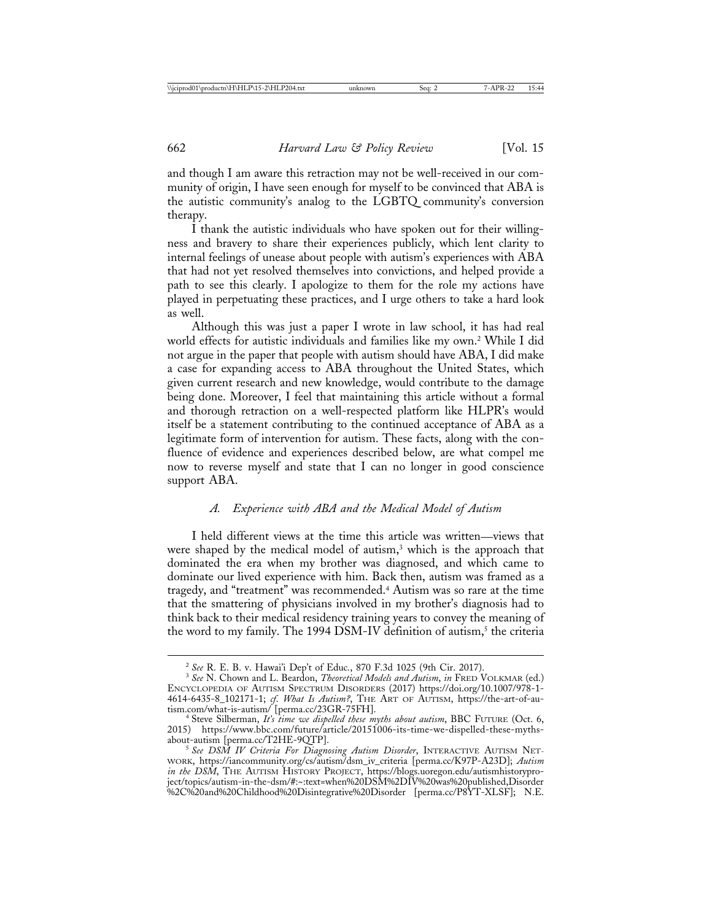and though I am aware this retraction may not be well-received in our community of origin, I have seen enough for myself to be convinced that ABA is the autistic community's analog to the LGBTQ community's conversion therapy.

I thank the autistic individuals who have spoken out for their willingness and bravery to share their experiences publicly, which lent clarity to internal feelings of unease about people with autism's experiences with ABA that had not yet resolved themselves into convictions, and helped provide a path to see this clearly. I apologize to them for the role my actions have played in perpetuating these practices, and I urge others to take a hard look as well.

Although this was just a paper I wrote in law school, it has had real world effects for autistic individuals and families like my own.2 While I did not argue in the paper that people with autism should have ABA, I did make a case for expanding access to ABA throughout the United States, which given current research and new knowledge, would contribute to the damage being done. Moreover, I feel that maintaining this article without a formal and thorough retraction on a well-respected platform like HLPR's would itself be a statement contributing to the continued acceptance of ABA as a legitimate form of intervention for autism. These facts, along with the confluence of evidence and experiences described below, are what compel me now to reverse myself and state that I can no longer in good conscience support ABA.

# *A. Experience with ABA and the Medical Model of Autism*

I held different views at the time this article was written—views that were shaped by the medical model of autism,<sup>3</sup> which is the approach that dominated the era when my brother was diagnosed, and which came to dominate our lived experience with him. Back then, autism was framed as a tragedy, and "treatment" was recommended.4 Autism was so rare at the time that the smattering of physicians involved in my brother's diagnosis had to think back to their medical residency training years to convey the meaning of the word to my family. The 1994 DSM-IV definition of autism,<sup>5</sup> the criteria

<sup>2</sup> *See* R. E. B. v. Hawai'i Dep't of Educ*.*, 870 F.3d 1025 (9th Cir. 2017). <sup>3</sup> *See* N. Chown and L. Beardon, *Theoretical Models and Autism*, *in* FRED VOLKMAR (ed.) ENCYCLOPEDIA OF AUTISM SPECTRUM DISORDERS (2017) https://doi.org/10.1007/978-1- 4614-6435-8\_102171-1; *cf*. *What Is Autism?*, THE ART OF AUTISM, https://the-art-of-au-

tism.com/what-is-autism/ [perma.cc/23GR-75FH]. <sup>4</sup> Steve Silberman, *It's time we dispelled these myths about autism*, BBC FUTURE (Oct. 6, 2015) https://www.bbc.com/future/article/20151006-its-time-we-dispelled-these-mythsabout-autism [perma.cc/T2HE-9QTP]. <sup>5</sup> *See DSM IV Criteria For Diagnosing Autism Disorder*, INTERACTIVE AUTISM NET-

WORK, https://iancommunity.org/cs/autism/dsm\_iv\_criteria [perma.cc/K97P-A23D]; *Autism in the DSM*, THE AUTISM HISTORY PROJECT, https://blogs.uoregon.edu/autismhistoryproject/topics/autism-in-the-dsm/#:~:text=when%20DSM%2DIV%20was%20published,Disorder %2C%20and%20Childhood%20Disintegrative%20Disorder [perma.cc/P8YT-XLSF]; N.E.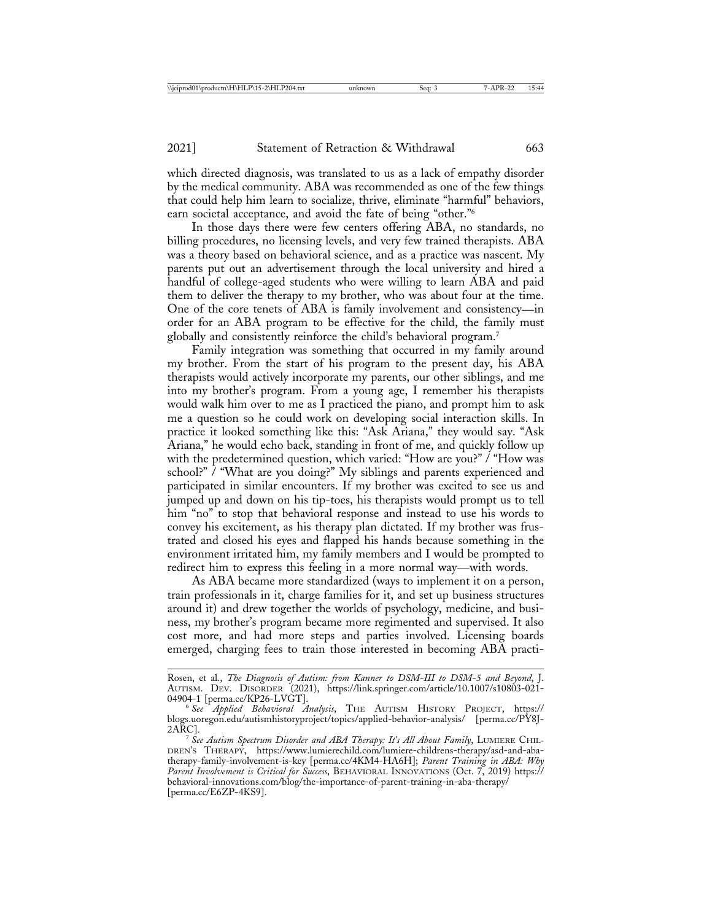which directed diagnosis, was translated to us as a lack of empathy disorder by the medical community. ABA was recommended as one of the few things that could help him learn to socialize, thrive, eliminate "harmful" behaviors, earn societal acceptance, and avoid the fate of being "other."6

In those days there were few centers offering ABA, no standards, no billing procedures, no licensing levels, and very few trained therapists. ABA was a theory based on behavioral science, and as a practice was nascent. My parents put out an advertisement through the local university and hired a handful of college-aged students who were willing to learn ABA and paid them to deliver the therapy to my brother, who was about four at the time. One of the core tenets of ABA is family involvement and consistency—in order for an ABA program to be effective for the child, the family must globally and consistently reinforce the child's behavioral program.7

Family integration was something that occurred in my family around my brother. From the start of his program to the present day, his ABA therapists would actively incorporate my parents, our other siblings, and me into my brother's program. From a young age, I remember his therapists would walk him over to me as I practiced the piano, and prompt him to ask me a question so he could work on developing social interaction skills. In practice it looked something like this: "Ask Ariana," they would say. "Ask Ariana," he would echo back, standing in front of me, and quickly follow up with the predetermined question, which varied: "How are you?" / "How was school?" / "What are you doing?" My siblings and parents experienced and participated in similar encounters. If my brother was excited to see us and jumped up and down on his tip-toes, his therapists would prompt us to tell him "no" to stop that behavioral response and instead to use his words to convey his excitement, as his therapy plan dictated. If my brother was frustrated and closed his eyes and flapped his hands because something in the environment irritated him, my family members and I would be prompted to redirect him to express this feeling in a more normal way—with words.

As ABA became more standardized (ways to implement it on a person, train professionals in it, charge families for it, and set up business structures around it) and drew together the worlds of psychology, medicine, and business, my brother's program became more regimented and supervised. It also cost more, and had more steps and parties involved. Licensing boards emerged, charging fees to train those interested in becoming ABA practi-

Rosen, et al., *The Diagnosis of Autism: from Kanner to DSM-III to DSM-5 and Beyond*, J. AUTISM. DEV. DISORDER (2021), https://link.springer.com/article/10.1007/s10803-021-04904-1 [perma.cc/KP26-LVGT].

<sup>04904-1 [</sup>perma.cc/KP26-LVGT]. <sup>6</sup> *See Applied Behavioral Analysis*, THE AUTISM HISTORY PROJECT, https:// blogs.uoregon.edu/autismhistoryproject/topics/applied-behavior-analysis/ [perma.cc/PY8J-

<sup>&</sup>lt;sup>7</sup> See Autism Spectrum Disorder and ABA Therapy: It's All About Family, LUMIERE CHIL-DREN'S THERAPY, https://www.lumierechild.com/lumiere-childrens-therapy/asd-and-abatherapy-family-involvement-is-key [perma.cc/4KM4-HA6H]; *Parent Training in ABA: Why Parent Involvement is Critical for Success*, BEHAVIORAL INNOVATIONS (Oct. 7, 2019) https:// behavioral-innovations.com/blog/the-importance-of-parent-training-in-aba-therapy/ [perma.cc/E6ZP-4KS9].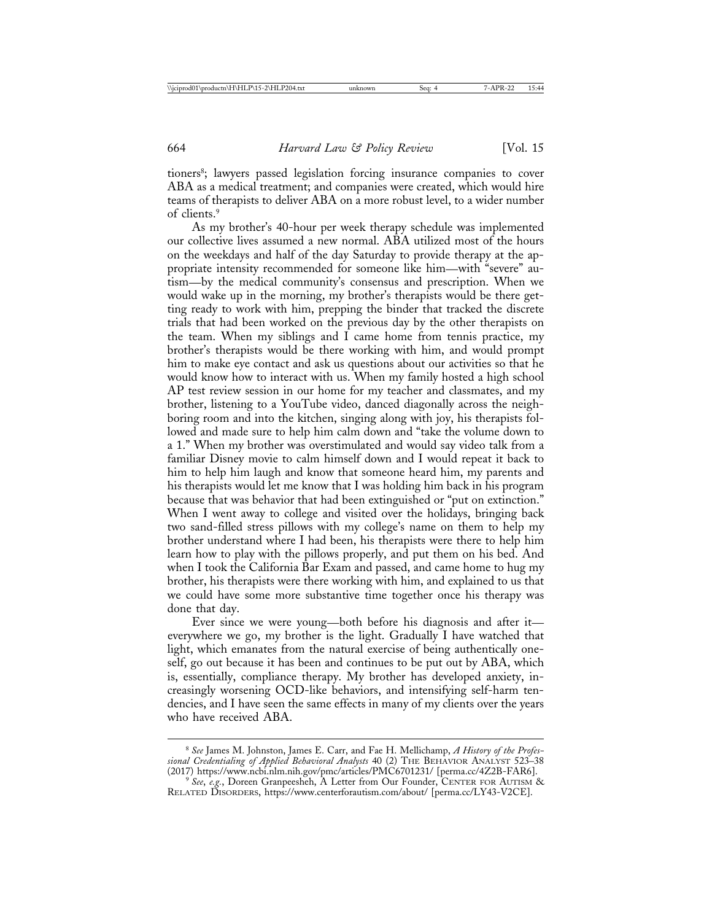tioners<sup>8</sup>; lawyers passed legislation forcing insurance companies to cover ABA as a medical treatment; and companies were created, which would hire teams of therapists to deliver ABA on a more robust level, to a wider number of clients.9

As my brother's 40-hour per week therapy schedule was implemented our collective lives assumed a new normal. ABA utilized most of the hours on the weekdays and half of the day Saturday to provide therapy at the appropriate intensity recommended for someone like him—with "severe" autism—by the medical community's consensus and prescription. When we would wake up in the morning, my brother's therapists would be there getting ready to work with him, prepping the binder that tracked the discrete trials that had been worked on the previous day by the other therapists on the team. When my siblings and  $\overline{I}$  came home from tennis practice, my brother's therapists would be there working with him, and would prompt him to make eye contact and ask us questions about our activities so that he would know how to interact with us. When my family hosted a high school AP test review session in our home for my teacher and classmates, and my brother, listening to a YouTube video, danced diagonally across the neighboring room and into the kitchen, singing along with joy, his therapists followed and made sure to help him calm down and "take the volume down to a 1." When my brother was overstimulated and would say video talk from a familiar Disney movie to calm himself down and I would repeat it back to him to help him laugh and know that someone heard him, my parents and his therapists would let me know that I was holding him back in his program because that was behavior that had been extinguished or "put on extinction." When I went away to college and visited over the holidays, bringing back two sand-filled stress pillows with my college's name on them to help my brother understand where I had been, his therapists were there to help him learn how to play with the pillows properly, and put them on his bed. And when I took the California Bar Exam and passed, and came home to hug my brother, his therapists were there working with him, and explained to us that we could have some more substantive time together once his therapy was done that day.

Ever since we were young—both before his diagnosis and after it everywhere we go, my brother is the light. Gradually I have watched that light, which emanates from the natural exercise of being authentically oneself, go out because it has been and continues to be put out by ABA, which is, essentially, compliance therapy. My brother has developed anxiety, increasingly worsening OCD-like behaviors, and intensifying self-harm tendencies, and I have seen the same effects in many of my clients over the years who have received ABA.

<sup>8</sup> *See* James M. Johnston, James E. Carr, and Fae H. Mellichamp, *A History of the Professional Credentialing of Applied Behavioral Analysts* 40 (2) THE BEHAVIOR ANALYST 523–38

<sup>&</sup>lt;sup>9</sup> See, *e.g.*, Doreen Granpeesheh, A Letter from Our Founder, CENTER FOR AUTISM & RELATED DISORDERS, https://www.centerforautism.com/about/ [perma.cc/LY43-V2CE].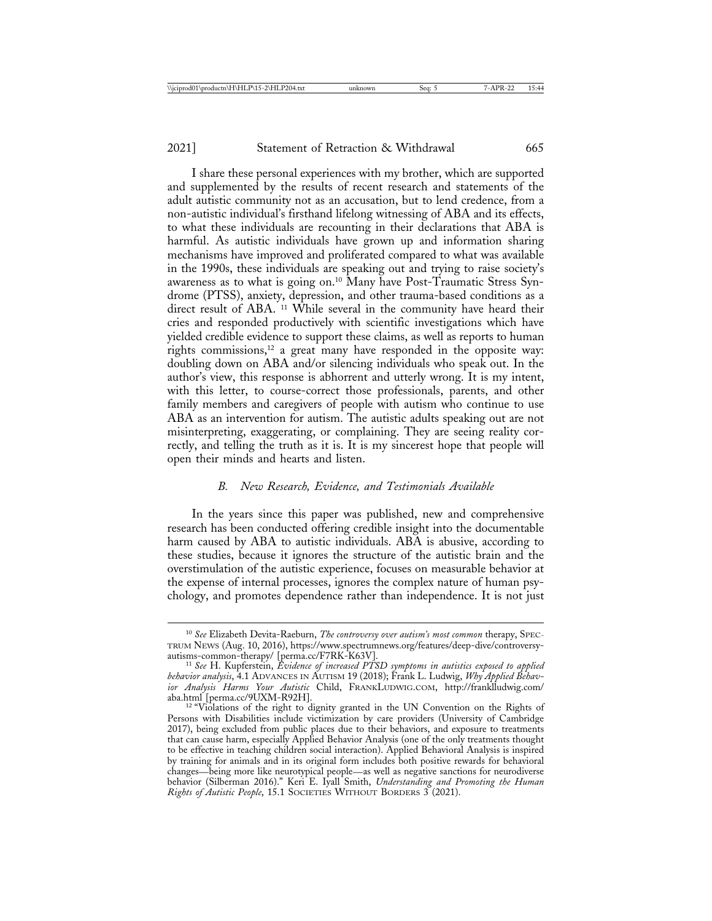I share these personal experiences with my brother, which are supported and supplemented by the results of recent research and statements of the adult autistic community not as an accusation, but to lend credence, from a non-autistic individual's firsthand lifelong witnessing of ABA and its effects, to what these individuals are recounting in their declarations that ABA is harmful. As autistic individuals have grown up and information sharing mechanisms have improved and proliferated compared to what was available in the 1990s, these individuals are speaking out and trying to raise society's awareness as to what is going on.10 Many have Post-Traumatic Stress Syndrome (PTSS), anxiety, depression, and other trauma-based conditions as a direct result of ABA. 11 While several in the community have heard their cries and responded productively with scientific investigations which have yielded credible evidence to support these claims, as well as reports to human rights commissions,<sup>12</sup> a great many have responded in the opposite way: doubling down on ABA and/or silencing individuals who speak out. In the author's view, this response is abhorrent and utterly wrong. It is my intent, with this letter, to course-correct those professionals, parents, and other family members and caregivers of people with autism who continue to use ABA as an intervention for autism. The autistic adults speaking out are not misinterpreting, exaggerating, or complaining. They are seeing reality correctly, and telling the truth as it is. It is my sincerest hope that people will open their minds and hearts and listen.

#### *B. New Research, Evidence, and Testimonials Available*

In the years since this paper was published, new and comprehensive research has been conducted offering credible insight into the documentable harm caused by ABA to autistic individuals. ABA is abusive, according to these studies, because it ignores the structure of the autistic brain and the overstimulation of the autistic experience, focuses on measurable behavior at the expense of internal processes, ignores the complex nature of human psychology, and promotes dependence rather than independence. It is not just

<sup>10</sup> *See* Elizabeth Devita-Raeburn, *The controversy over autism's most common* therapy, SPEC-TRUM NEWS (Aug. 10, 2016), https://www.spectrumnews.org/features/deep-dive/controversy-

autisms-common-therapy/ [perma.cc/F7RK-K63V]. <sup>11</sup> *See* H. Kupferstein, *Evidence of increased PTSD symptoms in autistics exposed to applied behavior analysis*, 4.1 ADVANCES IN AUTISM 19 (2018); Frank L. Ludwig, *Why Applied Behavior Analysis Harms Your Autistic* Child, FRANKLUDWIG.COM, http://franklludwig.com/ aba.html [perma.cc/9UXM-R92H].<br><sup>12</sup> "Violations of the right to dignity granted in the UN Convention on the Rights of

Persons with Disabilities include victimization by care providers (University of Cambridge 2017), being excluded from public places due to their behaviors, and exposure to treatments that can cause harm, especially Applied Behavior Analysis (one of the only treatments thought to be effective in teaching children social interaction). Applied Behavioral Analysis is inspired by training for animals and in its original form includes both positive rewards for behavioral changes—being more like neurotypical people—as well as negative sanctions for neurodiverse behavior (Silberman 2016)." Keri E. Iyall Smith, *Understanding and Promoting the Human Rights of Autistic People*, 15.1 SOCIETIES WITHOUT BORDERS 3 (2021).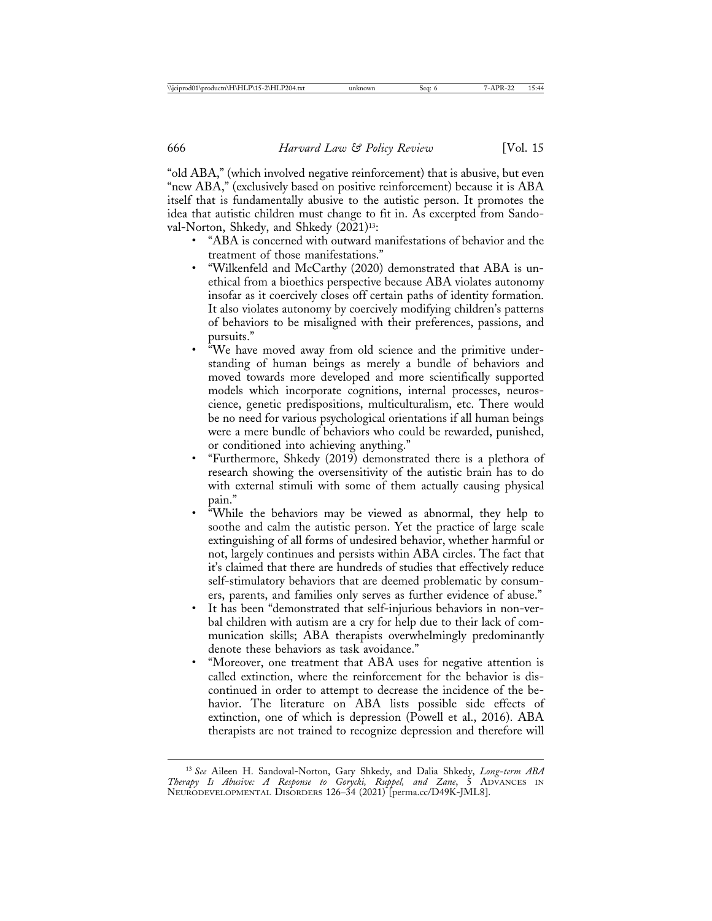"old ABA," (which involved negative reinforcement) that is abusive, but even "new ABA," (exclusively based on positive reinforcement) because it is ABA itself that is fundamentally abusive to the autistic person. It promotes the idea that autistic children must change to fit in. As excerpted from Sandoval-Norton, Shkedy, and Shkedy (2021)<sup>13</sup>:

- "ABA is concerned with outward manifestations of behavior and the treatment of those manifestations."
- "Wilkenfeld and McCarthy (2020) demonstrated that ABA is unethical from a bioethics perspective because ABA violates autonomy insofar as it coercively closes off certain paths of identity formation. It also violates autonomy by coercively modifying children's patterns of behaviors to be misaligned with their preferences, passions, and pursuits."
- "We have moved away from old science and the primitive understanding of human beings as merely a bundle of behaviors and moved towards more developed and more scientifically supported models which incorporate cognitions, internal processes, neuroscience, genetic predispositions, multiculturalism, etc. There would be no need for various psychological orientations if all human beings were a mere bundle of behaviors who could be rewarded, punished, or conditioned into achieving anything."
- "Furthermore, Shkedy (2019) demonstrated there is a plethora of research showing the oversensitivity of the autistic brain has to do with external stimuli with some of them actually causing physical pain."
- "While the behaviors may be viewed as abnormal, they help to soothe and calm the autistic person. Yet the practice of large scale extinguishing of all forms of undesired behavior, whether harmful or not, largely continues and persists within ABA circles. The fact that it's claimed that there are hundreds of studies that effectively reduce self-stimulatory behaviors that are deemed problematic by consumers, parents, and families only serves as further evidence of abuse."
- It has been "demonstrated that self-injurious behaviors in non-verbal children with autism are a cry for help due to their lack of communication skills; ABA therapists overwhelmingly predominantly denote these behaviors as task avoidance."
- "Moreover, one treatment that ABA uses for negative attention is called extinction, where the reinforcement for the behavior is discontinued in order to attempt to decrease the incidence of the behavior. The literature on ABA lists possible side effects of extinction, one of which is depression (Powell et al., 2016). ABA therapists are not trained to recognize depression and therefore will

<sup>13</sup> *See* Aileen H. Sandoval-Norton, Gary Shkedy, and Dalia Shkedy, *Long-term ABA Therapy Is Abusive: A Response to Gorycki, Ruppel, and Zane*, 5 ADVANCES IN NEURODEVELOPMENTAL DISORDERS 126–34 (2021) [perma.cc/D49K-JML8].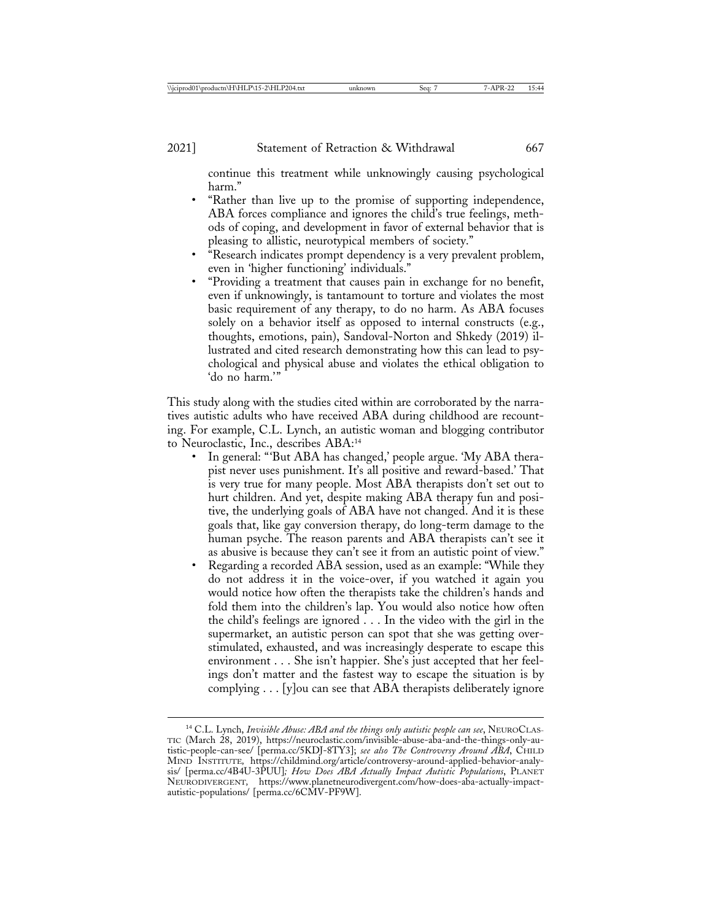continue this treatment while unknowingly causing psychological harm."

- "Rather than live up to the promise of supporting independence, ABA forces compliance and ignores the child's true feelings, methods of coping, and development in favor of external behavior that is pleasing to allistic, neurotypical members of society."
- "Research indicates prompt dependency is a very prevalent problem, even in 'higher functioning' individuals."
- "Providing a treatment that causes pain in exchange for no benefit, even if unknowingly, is tantamount to torture and violates the most basic requirement of any therapy, to do no harm. As ABA focuses solely on a behavior itself as opposed to internal constructs (e.g., thoughts, emotions, pain), Sandoval-Norton and Shkedy (2019) illustrated and cited research demonstrating how this can lead to psychological and physical abuse and violates the ethical obligation to 'do no harm.'"

This study along with the studies cited within are corroborated by the narratives autistic adults who have received ABA during childhood are recounting. For example, C.L. Lynch, an autistic woman and blogging contributor to Neuroclastic, Inc., describes ABA:14

- In general: "'But ABA has changed,' people argue. 'My ABA therapist never uses punishment. It's all positive and reward-based.' That is very true for many people. Most ABA therapists don't set out to hurt children. And yet, despite making ABA therapy fun and positive, the underlying goals of ABA have not changed. And it is these goals that, like gay conversion therapy, do long-term damage to the human psyche. The reason parents and ABA therapists can't see it as abusive is because they can't see it from an autistic point of view."
- Regarding a recorded ABA session, used as an example: "While they do not address it in the voice-over, if you watched it again you would notice how often the therapists take the children's hands and fold them into the children's lap. You would also notice how often the child's feelings are ignored . . . In the video with the girl in the supermarket, an autistic person can spot that she was getting overstimulated, exhausted, and was increasingly desperate to escape this environment . . . She isn't happier. She's just accepted that her feelings don't matter and the fastest way to escape the situation is by complying . . . [y]ou can see that ABA therapists deliberately ignore

<sup>14</sup> C.L. Lynch, *Invisible Abuse: ABA and the things only autistic people can see*, NEUROCLAS-TIC (March 28, 2019), https://neuroclastic.com/invisible-abuse-aba-and-the-things-only-autistic-people-can-see/ [perma.cc/5KDJ-8TY3]; *see also The Controversy Around ABA*, CHILD MIND INSTITUTE*,* https://childmind.org/article/controversy-around-applied-behavior-analysis/ [perma.cc/4B4U-3PUU]*; How Does ABA Actually Impact Autistic Populations*, PLANET NEURODIVERGENT*,* https://www.planetneurodivergent.com/how-does-aba-actually-impactautistic-populations/ [perma.cc/6CMV-PF9W].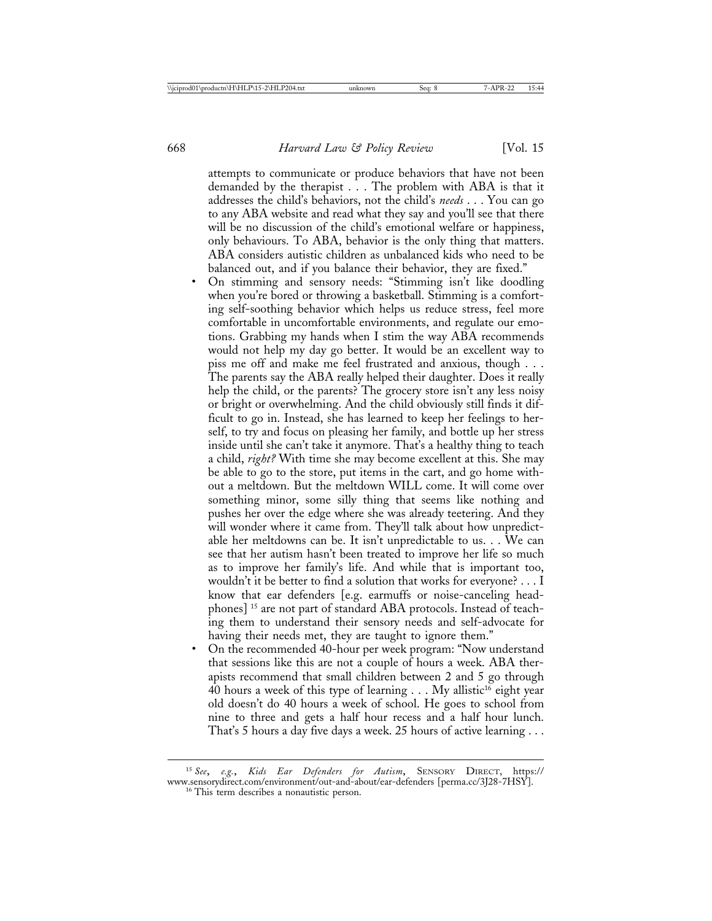attempts to communicate or produce behaviors that have not been demanded by the therapist . . . The problem with ABA is that it addresses the child's behaviors, not the child's *needs* . . . You can go to any ABA website and read what they say and you'll see that there will be no discussion of the child's emotional welfare or happiness, only behaviours. To ABA, behavior is the only thing that matters. ABA considers autistic children as unbalanced kids who need to be balanced out, and if you balance their behavior, they are fixed."

- On stimming and sensory needs: "Stimming isn't like doodling when you're bored or throwing a basketball. Stimming is a comforting self-soothing behavior which helps us reduce stress, feel more comfortable in uncomfortable environments, and regulate our emotions. Grabbing my hands when I stim the way ABA recommends would not help my day go better. It would be an excellent way to piss me off and make me feel frustrated and anxious, though . . . The parents say the ABA really helped their daughter. Does it really help the child, or the parents? The grocery store isn't any less noisy or bright or overwhelming. And the child obviously still finds it difficult to go in. Instead, she has learned to keep her feelings to herself, to try and focus on pleasing her family, and bottle up her stress inside until she can't take it anymore. That's a healthy thing to teach a child, *right?* With time she may become excellent at this. She may be able to go to the store, put items in the cart, and go home without a meltdown. But the meltdown WILL come. It will come over something minor, some silly thing that seems like nothing and pushes her over the edge where she was already teetering. And they will wonder where it came from. They'll talk about how unpredictable her meltdowns can be. It isn't unpredictable to us. . . We can see that her autism hasn't been treated to improve her life so much as to improve her family's life. And while that is important too, wouldn't it be better to find a solution that works for everyone? . . . I know that ear defenders [e.g. earmuffs or noise-canceling headphones] 15 are not part of standard ABA protocols. Instead of teaching them to understand their sensory needs and self-advocate for having their needs met, they are taught to ignore them."
- On the recommended 40-hour per week program: "Now understand that sessions like this are not a couple of hours a week. ABA therapists recommend that small children between 2 and 5 go through 40 hours a week of this type of learning  $\ldots$  My allistic<sup>16</sup> eight year old doesn't do 40 hours a week of school. He goes to school from nine to three and gets a half hour recess and a half hour lunch. That's 5 hours a day five days a week. 25 hours of active learning . . .

<sup>15</sup> *See*, *e.g.*, *Kids Ear Defenders for Autism*, SENSORY DIRECT, https:// www.sensorydirect.com/environment/out-and-about/ear-defenders [perma.cc/3J28-7HSY]. <sup>16</sup> This term describes a nonautistic person.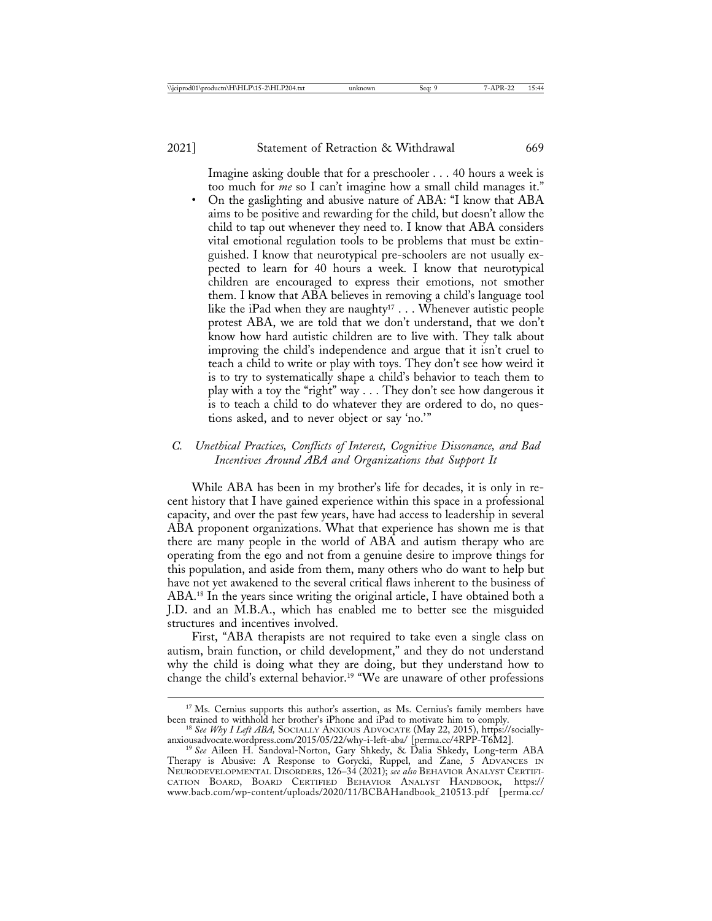Imagine asking double that for a preschooler . . . 40 hours a week is too much for *me* so I can't imagine how a small child manages it." • On the gaslighting and abusive nature of ABA: "I know that ABA aims to be positive and rewarding for the child, but doesn't allow the child to tap out whenever they need to. I know that ABA considers vital emotional regulation tools to be problems that must be extinguished. I know that neurotypical pre-schoolers are not usually expected to learn for 40 hours a week. I know that neurotypical children are encouraged to express their emotions, not smother them. I know that ABA believes in removing a child's language tool like the iPad when they are naughty<sup>17</sup> . . . Whenever autistic people protest ABA, we are told that we don't understand, that we don't know how hard autistic children are to live with. They talk about improving the child's independence and argue that it isn't cruel to teach a child to write or play with toys. They don't see how weird it is to try to systematically shape a child's behavior to teach them to play with a toy the "right" way . . . They don't see how dangerous it is to teach a child to do whatever they are ordered to do, no questions asked, and to never object or say 'no.'"

# *C. Unethical Practices, Conflicts of Interest, Cognitive Dissonance, and Bad Incentives Around ABA and Organizations that Support It*

While ABA has been in my brother's life for decades, it is only in recent history that I have gained experience within this space in a professional capacity, and over the past few years, have had access to leadership in several ABA proponent organizations. What that experience has shown me is that there are many people in the world of ABA and autism therapy who are operating from the ego and not from a genuine desire to improve things for this population, and aside from them, many others who do want to help but have not yet awakened to the several critical flaws inherent to the business of ABA.18 In the years since writing the original article, I have obtained both a J.D. and an M.B.A., which has enabled me to better see the misguided structures and incentives involved.

First, "ABA therapists are not required to take even a single class on autism, brain function, or child development," and they do not understand why the child is doing what they are doing, but they understand how to change the child's external behavior.19 "We are unaware of other professions

<sup>&</sup>lt;sup>17</sup> Ms. Cernius supports this author's assertion, as Ms. Cernius's family members have

been trained to withhold her brother's iPhone and iPad to motivate him to comply.<br><sup>18</sup> *See Why I Left ABA*, SOCIALLY ANXIOUS ADVOCATE (May 22, 2015), https://socially-anxiousadvocate.wordpress.com/2015/05/22/why-i-left-ab

anxiousadvocate.wordpress.com/2015/05/22/why-i-left-aba/ [perma.cc/4RPP-T6M2]. <sup>19</sup> *See* Aileen H. Sandoval-Norton, Gary Shkedy, & Dalia Shkedy, Long-term ABA Therapy is Abusive: A Response to Gorycki, Ruppel, and Zane, 5 ADVANCES IN NEURODEVELOPMENTAL DISORDERS, 126–34 (2021); *see also* BEHAVIOR ANALYST CERTIFI-CATION BOARD, BOARD CERTIFIED BEHAVIOR ANALYST HANDBOOK, https:// www.bacb.com/wp-content/uploads/2020/11/BCBAHandbook\_210513.pdf [perma.cc/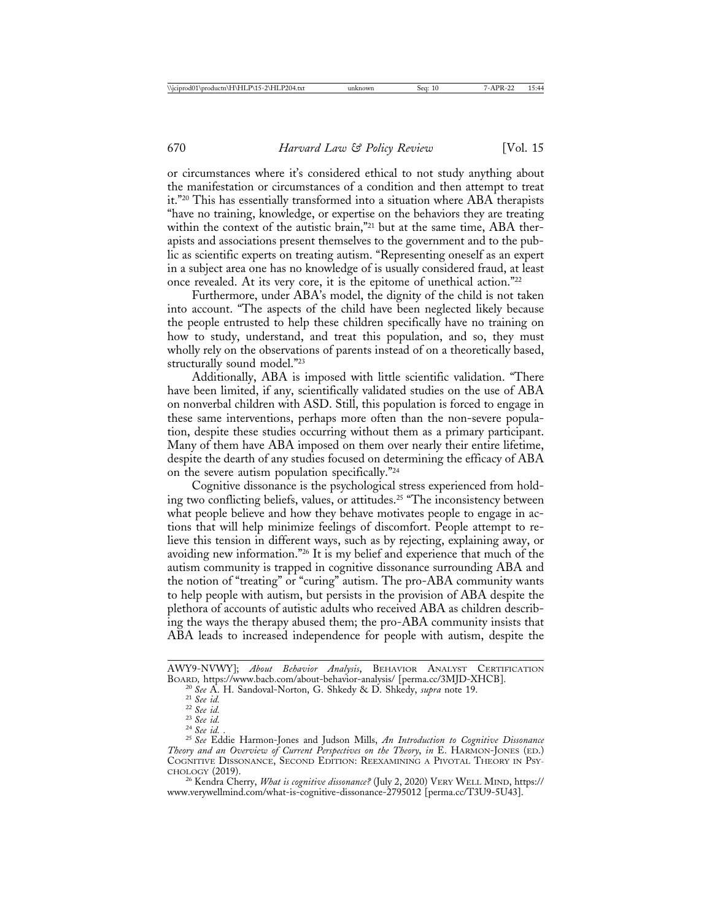or circumstances where it's considered ethical to not study anything about the manifestation or circumstances of a condition and then attempt to treat it."20 This has essentially transformed into a situation where ABA therapists "have no training, knowledge, or expertise on the behaviors they are treating within the context of the autistic brain,"<sup>21</sup> but at the same time, ABA therapists and associations present themselves to the government and to the public as scientific experts on treating autism. "Representing oneself as an expert in a subject area one has no knowledge of is usually considered fraud, at least once revealed. At its very core, it is the epitome of unethical action."22

Furthermore, under ABA's model, the dignity of the child is not taken into account. "The aspects of the child have been neglected likely because the people entrusted to help these children specifically have no training on how to study, understand, and treat this population, and so, they must wholly rely on the observations of parents instead of on a theoretically based, structurally sound model."23

Additionally, ABA is imposed with little scientific validation. "There have been limited, if any, scientifically validated studies on the use of ABA on nonverbal children with ASD. Still, this population is forced to engage in these same interventions, perhaps more often than the non-severe population, despite these studies occurring without them as a primary participant. Many of them have ABA imposed on them over nearly their entire lifetime, despite the dearth of any studies focused on determining the efficacy of ABA on the severe autism population specifically."24

Cognitive dissonance is the psychological stress experienced from holding two conflicting beliefs, values, or attitudes.25 "The inconsistency between what people believe and how they behave motivates people to engage in actions that will help minimize feelings of discomfort. People attempt to relieve this tension in different ways, such as by rejecting, explaining away, or avoiding new information."26 It is my belief and experience that much of the autism community is trapped in cognitive dissonance surrounding ABA and the notion of "treating" or "curing" autism. The pro-ABA community wants to help people with autism, but persists in the provision of ABA despite the plethora of accounts of autistic adults who received ABA as children describing the ways the therapy abused them; the pro-ABA community insists that ABA leads to increased independence for people with autism, despite the

www.verywellmind.com/what-is-cognitive-dissonance-2795012 [perma.cc/T3U9-5U43].

AWY9-NVWY]; *About Behavior Analysis*, BEHAVIOR ANALYST CERTIFICATION

<sup>&</sup>lt;sup>20</sup> See A. H. Sandoval-Norton, G. Shkedy & D. Shkedy, *supra* note 19.<br><sup>21</sup> See id.<br><sup>22</sup> See id.<br><sup>23</sup> See id.<br><sup>24</sup> See id. .<br><sup>25</sup> See Eddie Harmon-Jones and Judson Mills, *An Introduction to Cognitive Dissonance Theory and an Overview of Current Perspectives on the Theory*, *in* E. HARMON-JONES (ED.) COGNITIVE DISSONANCE, SECOND EDITION: REEXAMINING A PIVOTAL THEORY IN PSY-CHOLOGY (2019). <sup>26</sup> Kendra Cherry, *What is cognitive dissonance?* (July 2, 2020) VERY WELL MIND, https://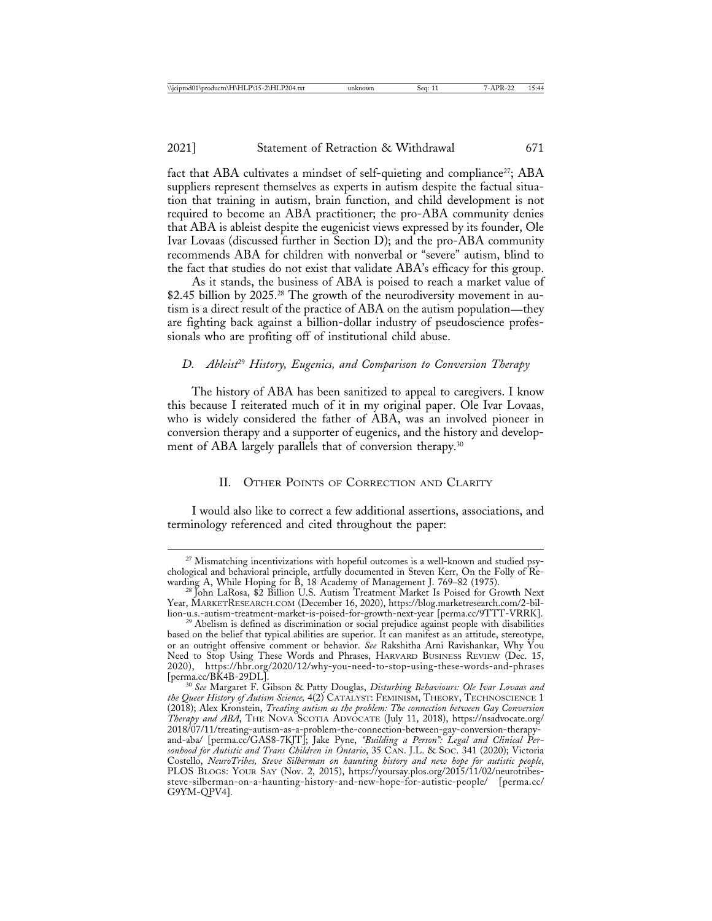fact that ABA cultivates a mindset of self-quieting and compliance<sup>27</sup>; ABA suppliers represent themselves as experts in autism despite the factual situation that training in autism, brain function, and child development is not required to become an ABA practitioner; the pro-ABA community denies that ABA is ableist despite the eugenicist views expressed by its founder, Ole Ivar Lovaas (discussed further in Section D); and the pro-ABA community recommends ABA for children with nonverbal or "severe" autism, blind to the fact that studies do not exist that validate ABA's efficacy for this group.

As it stands, the business of ABA is poised to reach a market value of \$2.45 billion by 2025.<sup>28</sup> The growth of the neurodiversity movement in autism is a direct result of the practice of ABA on the autism population—they are fighting back against a billion-dollar industry of pseudoscience professionals who are profiting off of institutional child abuse.

# *D. Ableist*29 *History, Eugenics, and Comparison to Conversion Therapy*

The history of ABA has been sanitized to appeal to caregivers. I know this because I reiterated much of it in my original paper. Ole Ivar Lovaas, who is widely considered the father of ABA, was an involved pioneer in conversion therapy and a supporter of eugenics, and the history and development of ABA largely parallels that of conversion therapy.<sup>30</sup>

# II. OTHER POINTS OF CORRECTION AND CLARITY

I would also like to correct a few additional assertions, associations, and terminology referenced and cited throughout the paper:

<sup>&</sup>lt;sup>27</sup> Mismatching incentivizations with hopeful outcomes is a well-known and studied psychological and behavioral principle, artfully documented in Steven Kerr, On the Folly of Rewarding A, While Hoping for B, 18 Academy of Management J. 769–82 (1975). <sup>28</sup> John LaRosa, \$2 Billion U.S. Autism Treatment Market Is Poised for Growth Next

Year, MARKETRESEARCH.COM (December 16, 2020), https://blog.marketresearch.com/2-bil-

<sup>&</sup>lt;sup>29</sup> Abelism is defined as discrimination or social prejudice against people with disabilities based on the belief that typical abilities are superior. It can manifest as an attitude, stereotype, or an outright offensive comment or behavior. *See* Rakshitha Arni Ravishankar, Why You Need to Stop Using These Words and Phrases, HARVARD BUSINESS REVIEW (Dec. 15, 2020), https://hbr.org/2020/12/why-you-need-to-stop-using-these-words-and-phrases [perma.cc/BK4B-29DL]. <sup>30</sup> *See* Margaret F. Gibson & Patty Douglas, *Disturbing Behaviours: Ole Ivar Lovaas and*

*the Queer History of Autism Science,* 4(2) CATALYST: FEMINISM, THEORY, TECHNOSCIENCE 1 (2018); Alex Kronstein, *Treating autism as the problem: The connection between Gay Conversion Therapy and ABA*, THE NOVA SCOTIA ADVOCATE (July 11, 2018), https://nsadvocate.org/ 2018/07/11/treating-autism-as-a-problem-the-connection-between-gay-conversion-therapyand-aba/ [perma.cc/GAS8-7KJT]; Jake Pyne, *"Building a Person": Legal and Clinical Personhood for Autistic and Trans Children in Ontario*, 35 CAN. J.L. & SOC. 341 (2020); Victoria Costello, *NeuroTribes, Steve Silberman on haunting history and new hope for autistic people*, PLOS BLOGS: YOUR SAY (Nov. 2, 2015), https://yoursay.plos.org/2015/11/02/neurotribessteve-silberman-on-a-haunting-history-and-new-hope-for-autistic-people/ [perma.cc/ G9YM-QPV4].